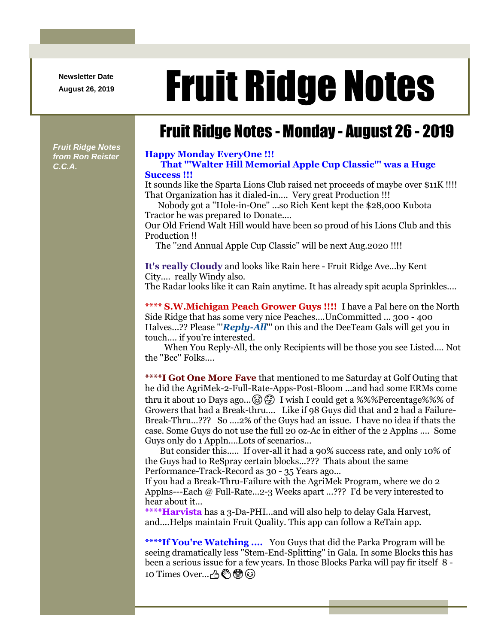**Newsletter Date**

## August 26, 2019 **Fruit Ridge Notes**

## Fruit Ridge Notes - Monday - August 26 - 2019

*Fruit Ridge Notes from Ron Reister C.C.A.*

## **Happy Monday EveryOne !!!**

**That '''Walter Hill Memorial Apple Cup Classic''' was a Huge Success !!!**

It sounds like the Sparta Lions Club raised net proceeds of maybe over \$11K !!!! That Organization has it dialed-in.... Very great Production !!!

Nobody got a ''Hole-in-One'' ...so Rich Kent kept the \$28,000 Kubota Tractor he was prepared to Donate....

Our Old Friend Walt Hill would have been so proud of his Lions Club and this Production !!

The ''2nd Annual Apple Cup Classic'' will be next Aug.2020 !!!!

**It's really Cloudy** and looks like Rain here - Fruit Ridge Ave...by Kent City.... really Windy also.

The Radar looks like it can Rain anytime. It has already spit acupla Sprinkles....

**\*\*\*\* S.W.Michigan Peach Grower Guys !!!!** I have a Pal here on the North Side Ridge that has some very nice Peaches....UnCommitted ... 300 - 400 Halves...?? Please "'*Reply-All*''' on this and the DeeTeam Gals will get you in touch.... if you're interested.

When You Reply-All, the only Recipients will be those you see Listed.... Not the ''Bcc'' Folks....

**\*\*\*\*I Got One More Fave** that mentioned to me Saturday at Golf Outing that he did the AgriMek-2-Full-Rate-Apps-Post-Bloom ...and had some ERMs come thru it about 10 Days ago...  $\circled{3}$   $\circled{4}$  I wish I could get a %%%Percentage%%% of Growers that had a Break-thru.... Like if 98 Guys did that and 2 had a Failure-Break-Thru...??? So ....2% of the Guys had an issue. I have no idea if thats the case. Some Guys do not use the full 20 oz-Ac in either of the 2 Applns .... Some Guys only do 1 Appln....Lots of scenarios...

But consider this..... If over-all it had a 90% success rate, and only 10% of the Guys had to ReSpray certain blocks...??? Thats about the same Performance-Track-Record as 30 - 35 Years ago...

If you had a Break-Thru-Failure with the AgriMek Program, where we do 2 Applns---Each @ Full-Rate...2-3 Weeks apart ...??? I'd be very interested to hear about it...

**\*\*\*\*Harvista** has a 3-Da-PHI...and will also help to delay Gala Harvest, and....Helps maintain Fruit Quality. This app can follow a ReTain app.

\*\*\*\***If You're Watching ....** You Guys that did the Parka Program will be seeing dramatically less ''Stem-End-Splitting'' in Gala. In some Blocks this has been a serious issue for a few years. In those Blocks Parka will pay fir itself 8 - 10 Times Over... 个《\$?